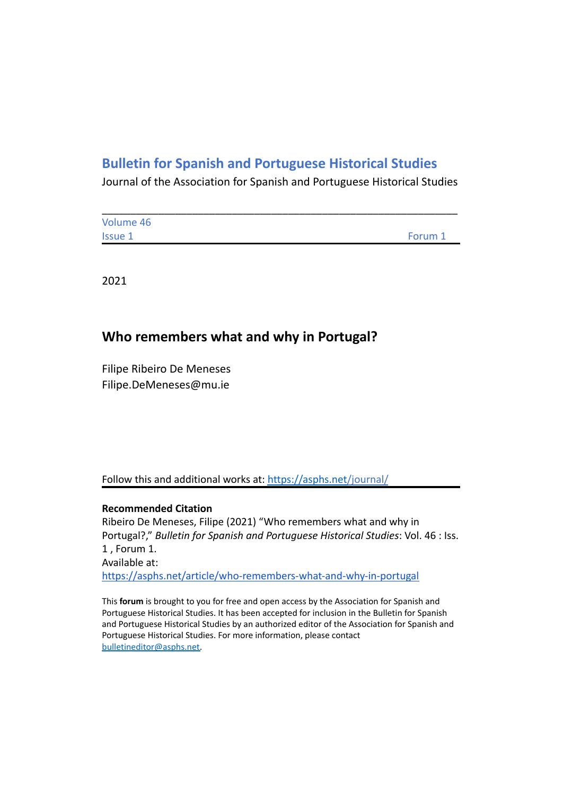# **Bulletin for Spanish and Portuguese Historical Studies**

Journal of the Association for Spanish and Portuguese Historical Studies

| Volume 46      |         |
|----------------|---------|
| <b>Issue 1</b> | Forum 1 |

2021

## **Who remembers what and why in Portugal?**

Filipe Ribeiro De Meneses Filipe.DeMeneses@mu.ie

Follow this and additional works at: <https://asphs.net/journal/>

### **Recommended Citation**

Ribeiro De Meneses, Filipe (2021) "Who remembers what and why in Portugal?," *Bulletin for Spanish and Portuguese Historical Studies*: Vol. 46 : Iss. 1 , Forum 1. Available at: <https://asphs.net/article/who-remembers-what-and-why-in-portugal>

This **forum** is brought to you for free and open access by the Association for Spanish and Portuguese Historical Studies. It has been accepted for inclusion in the Bulletin for Spanish and Portuguese Historical Studies by an authorized editor of the Association for Spanish and Portuguese Historical Studies. For more information, please contact [bulletineditor@asphs.net.](mailto:bulletineditor@asphs.net)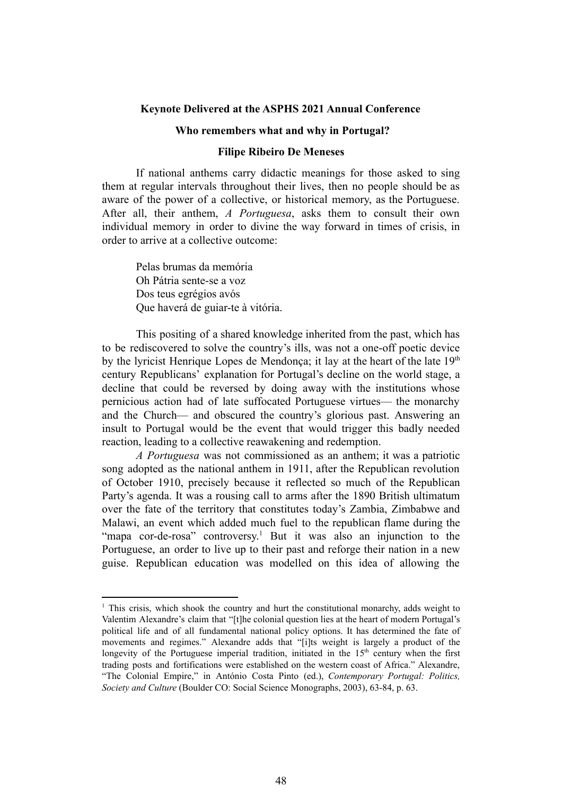#### **Keynote Delivered at the ASPHS 2021 Annual Conference**

#### **Who remembers what and why in Portugal?**

#### **Filipe Ribeiro De Meneses**

If national anthems carry didactic meanings for those asked to sing them at regular intervals throughout their lives, then no people should be as aware of the power of a collective, or historical memory, as the Portuguese. After all, their anthem, *A Portuguesa*, asks them to consult their own individual memory in order to divine the way forward in times of crisis, in order to arrive at a collective outcome:

Pelas brumas da memória Oh Pátria sente-se a voz Dos teus egrégios avós Que haverá de guiar-te à vitória.

This positing of a shared knowledge inherited from the past, which has to be rediscovered to solve the country's ills, was not a one-off poetic device by the lyricist Henrique Lopes de Mendonça; it lay at the heart of the late  $19<sup>th</sup>$ century Republicans' explanation for Portugal's decline on the world stage, a decline that could be reversed by doing away with the institutions whose pernicious action had of late suffocated Portuguese virtues— the monarchy and the Church— and obscured the country's glorious past. Answering an insult to Portugal would be the event that would trigger this badly needed reaction, leading to a collective reawakening and redemption.

*A Portuguesa* was not commissioned as an anthem; it was a patriotic song adopted as the national anthem in 1911, after the Republican revolution of October 1910, precisely because it reflected so much of the Republican Party's agenda. It was a rousing call to arms after the 1890 British ultimatum over the fate of the territory that constitutes today's Zambia, Zimbabwe and Malawi, an event which added much fuel to the republican flame during the "mapa cor-de-rosa" controversy.<sup>1</sup> But it was also an injunction to the Portuguese, an order to live up to their past and reforge their nation in a new guise. Republican education was modelled on this idea of allowing the

<sup>&</sup>lt;sup>1</sup> This crisis, which shook the country and hurt the constitutional monarchy, adds weight to Valentim Alexandre's claim that "[t]he colonial question lies at the heart of modern Portugal's political life and of all fundamental national policy options. It has determined the fate of movements and regimes." Alexandre adds that "[i]ts weight is largely a product of the longevity of the Portuguese imperial tradition, initiated in the 15<sup>th</sup> century when the first trading posts and fortifications were established on the western coast of Africa." Alexandre, "The Colonial Empire," in António Costa Pinto (ed.), *Contemporary Portugal: Politics, Society and Culture* (Boulder CO: Social Science Monographs, 2003), 63-84, p. 63.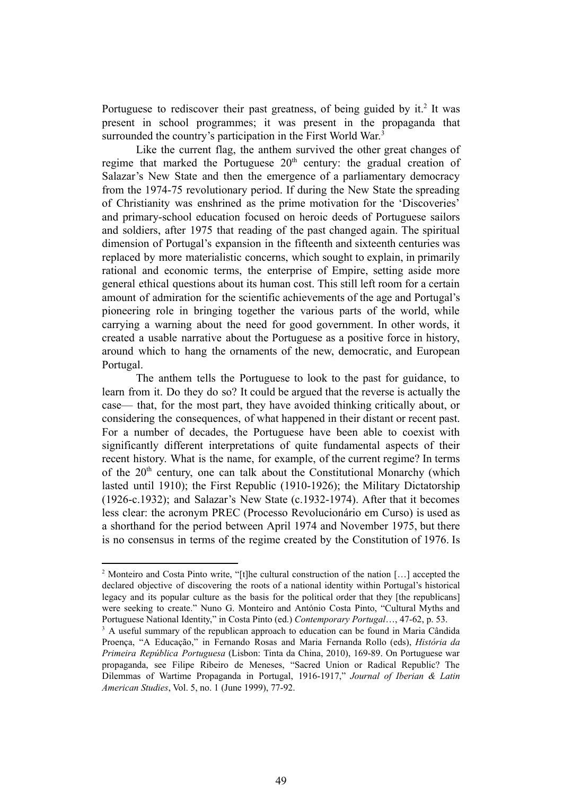Portuguese to rediscover their past greatness, of being guided by it.<sup>2</sup> It was present in school programmes; it was present in the propaganda that surrounded the country's participation in the First World War.<sup>3</sup>

Like the current flag, the anthem survived the other great changes of regime that marked the Portuguese  $20<sup>th</sup>$  century: the gradual creation of Salazar's New State and then the emergence of a parliamentary democracy from the 1974-75 revolutionary period. If during the New State the spreading of Christianity was enshrined as the prime motivation for the 'Discoveries' and primary-school education focused on heroic deeds of Portuguese sailors and soldiers, after 1975 that reading of the past changed again. The spiritual dimension of Portugal's expansion in the fifteenth and sixteenth centuries was replaced by more materialistic concerns, which sought to explain, in primarily rational and economic terms, the enterprise of Empire, setting aside more general ethical questions about its human cost. This still left room for a certain amount of admiration for the scientific achievements of the age and Portugal's pioneering role in bringing together the various parts of the world, while carrying a warning about the need for good government. In other words, it created a usable narrative about the Portuguese as a positive force in history, around which to hang the ornaments of the new, democratic, and European Portugal.

The anthem tells the Portuguese to look to the past for guidance, to learn from it. Do they do so? It could be argued that the reverse is actually the case— that, for the most part, they have avoided thinking critically about, or considering the consequences, of what happened in their distant or recent past. For a number of decades, the Portuguese have been able to coexist with significantly different interpretations of quite fundamental aspects of their recent history. What is the name, for example, of the current regime? In terms of the  $20<sup>th</sup>$  century, one can talk about the Constitutional Monarchy (which lasted until 1910); the First Republic (1910-1926); the Military Dictatorship (1926-c.1932); and Salazar's New State (c.1932-1974). After that it becomes less clear: the acronym PREC (Processo Revolucionário em Curso) is used as a shorthand for the period between April 1974 and November 1975, but there is no consensus in terms of the regime created by the Constitution of 1976. Is

<sup>2</sup> Monteiro and Costa Pinto write, "[t]he cultural construction of the nation […] accepted the declared objective of discovering the roots of a national identity within Portugal's historical legacy and its popular culture as the basis for the political order that they [the republicans] were seeking to create." Nuno G. Monteiro and António Costa Pinto, "Cultural Myths and Portuguese National Identity," in Costa Pinto (ed.) *Contemporary Portugal*…, 47-62, p. 53.

<sup>&</sup>lt;sup>3</sup> A useful summary of the republican approach to education can be found in Maria Cândida Proença, "A Educação," in Fernando Rosas and Maria Fernanda Rollo (eds), *História da Primeira República Portuguesa* (Lisbon: Tinta da China, 2010), 169-89. On Portuguese war propaganda, see Filipe Ribeiro de Meneses, "Sacred Union or Radical Republic? The Dilemmas of Wartime Propaganda in Portugal, 1916-1917," *Journal of Iberian & Latin American Studies*, Vol. 5, no. 1 (June 1999), 77-92.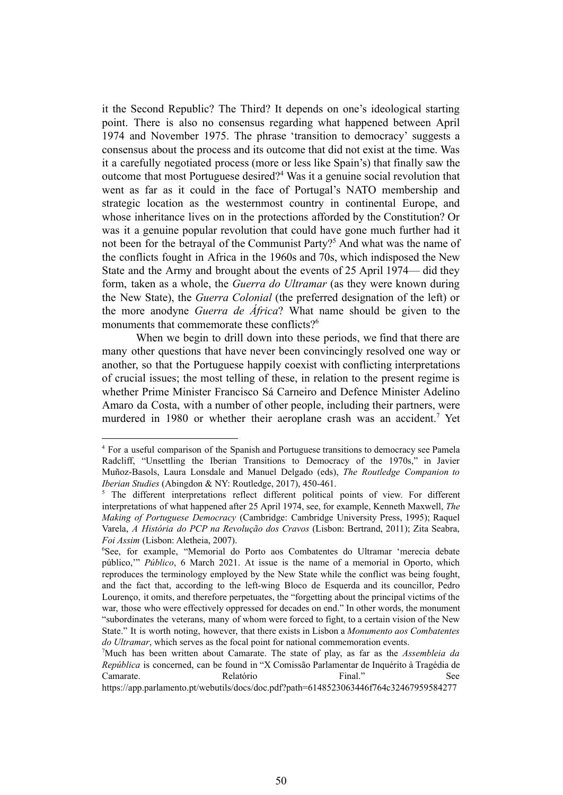it the Second Republic? The Third? It depends on one's ideological starting point. There is also no consensus regarding what happened between April 1974 and November 1975. The phrase 'transition to democracy' suggests a consensus about the process and its outcome that did not exist at the time. Was it a carefully negotiated process (more or less like Spain's) that finally saw the outcome that most Portuguese desired?<sup>4</sup> Was it a genuine social revolution that went as far as it could in the face of Portugal's NATO membership and strategic location as the westernmost country in continental Europe, and whose inheritance lives on in the protections afforded by the Constitution? Or was it a genuine popular revolution that could have gone much further had it not been for the betrayal of the Communist Party?<sup>5</sup> And what was the name of the conflicts fought in Africa in the 1960s and 70s, which indisposed the New State and the Army and brought about the events of 25 April 1974— did they form, taken as a whole, the *Guerra do Ultramar* (as they were known during the New State), the *Guerra Colonial* (the preferred designation of the left) or the more anodyne *Guerra de África*? What name should be given to the monuments that commemorate these conflicts?<sup>6</sup>

When we begin to drill down into these periods, we find that there are many other questions that have never been convincingly resolved one way or another, so that the Portuguese happily coexist with conflicting interpretations of crucial issues; the most telling of these, in relation to the present regime is whether Prime Minister Francisco Sá Carneiro and Defence Minister Adelino Amaro da Costa, with a number of other people, including their partners, were murdered in 1980 or whether their aeroplane crash was an accident.<sup>7</sup> Yet

<sup>4</sup> For a useful comparison of the Spanish and Portuguese transitions to democracy see Pamela Radcliff, "Unsettling the Iberian Transitions to Democracy of the 1970s," in Javier Muñoz-Basols, Laura Lonsdale and Manuel Delgado (eds), *The Routledge Companion to Iberian Studies* (Abingdon & NY: Routledge, 2017), 450-461.

<sup>&</sup>lt;sup>5</sup> The different interpretations reflect different political points of view. For different interpretations of what happened after 25 April 1974, see, for example, Kenneth Maxwell, *The Making of Portuguese Democracy* (Cambridge: Cambridge University Press, 1995); Raquel Varela, *A História do PCP na Revolução dos Cravos* (Lisbon: Bertrand, 2011); Zita Seabra, *Foi Assim* (Lisbon: Aletheia, 2007).

<sup>6</sup>See, for example, "Memorial do Porto aos Combatentes do Ultramar 'merecia debate público,'" *Público*, 6 March 2021. At issue is the name of a memorial in Oporto, which reproduces the terminology employed by the New State while the conflict was being fought, and the fact that, according to the left-wing Bloco de Esquerda and its councillor, Pedro Lourenço, it omits, and therefore perpetuates, the "forgetting about the principal victims of the war, those who were effectively oppressed for decades on end." In other words, the monument "subordinates the veterans, many of whom were forced to fight, to a certain vision of the New State." It is worth noting, however, that there exists in Lisbon a *Monumento aos Combatentes do Ultramar*, which serves as the focal point for national commemoration events.

<sup>7</sup>Much has been written about Camarate. The state of play, as far as the *Assembleia da República* is concerned, can be found in "X Comissão Parlamentar de Inquérito à Tragédia de Camarate. Relatório Final." See

https://app.parlamento.pt/webutils/docs/doc.pdf?path=6148523063446f764c32467959584277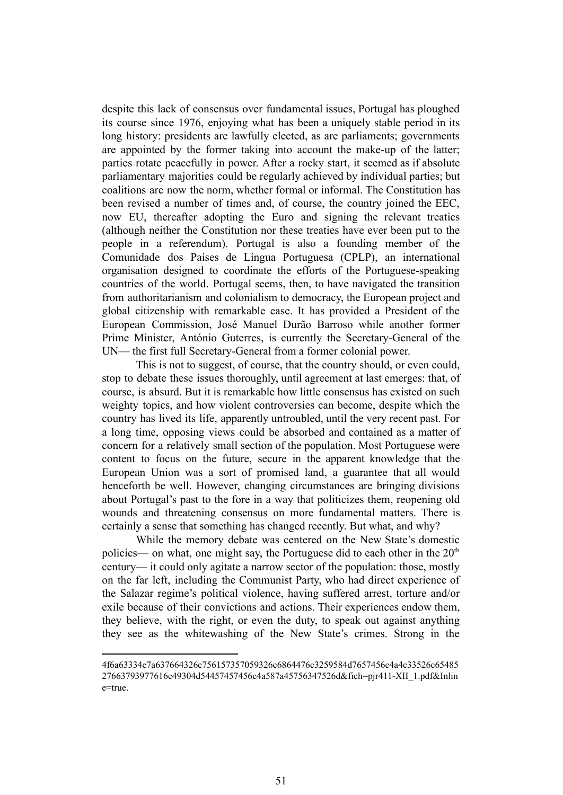despite this lack of consensus over fundamental issues, Portugal has ploughed its course since 1976, enjoying what has been a uniquely stable period in its long history: presidents are lawfully elected, as are parliaments; governments are appointed by the former taking into account the make-up of the latter; parties rotate peacefully in power. After a rocky start, it seemed as if absolute parliamentary majorities could be regularly achieved by individual parties; but coalitions are now the norm, whether formal or informal. The Constitution has been revised a number of times and, of course, the country joined the EEC, now EU, thereafter adopting the Euro and signing the relevant treaties (although neither the Constitution nor these treaties have ever been put to the people in a referendum). Portugal is also a founding member of the Comunidade dos Países de Língua Portuguesa (CPLP), an international organisation designed to coordinate the efforts of the Portuguese-speaking countries of the world. Portugal seems, then, to have navigated the transition from authoritarianism and colonialism to democracy, the European project and global citizenship with remarkable ease. It has provided a President of the European Commission, José Manuel Durão Barroso while another former Prime Minister, António Guterres, is currently the Secretary-General of the UN— the first full Secretary-General from a former colonial power.

This is not to suggest, of course, that the country should, or even could, stop to debate these issues thoroughly, until agreement at last emerges: that, of course, is absurd. But it is remarkable how little consensus has existed on such weighty topics, and how violent controversies can become, despite which the country has lived its life, apparently untroubled, until the very recent past. For a long time, opposing views could be absorbed and contained as a matter of concern for a relatively small section of the population. Most Portuguese were content to focus on the future, secure in the apparent knowledge that the European Union was a sort of promised land, a guarantee that all would henceforth be well. However, changing circumstances are bringing divisions about Portugal's past to the fore in a way that politicizes them, reopening old wounds and threatening consensus on more fundamental matters. There is certainly a sense that something has changed recently. But what, and why?

While the memory debate was centered on the New State's domestic policies— on what, one might say, the Portuguese did to each other in the 20<sup>th</sup> century— it could only agitate a narrow sector of the population: those, mostly on the far left, including the Communist Party, who had direct experience of the Salazar regime's political violence, having suffered arrest, torture and/or exile because of their convictions and actions. Their experiences endow them, they believe, with the right, or even the duty, to speak out against anything they see as the whitewashing of the New State's crimes. Strong in the

<sup>4</sup>f6a63334e7a637664326c756157357059326c6864476c3259584d7657456c4a4c33526c65485 27663793977616e49304d54457457456c4a587a45756347526d&fich=pjr411-XII\_1.pdf&Inlin e=true.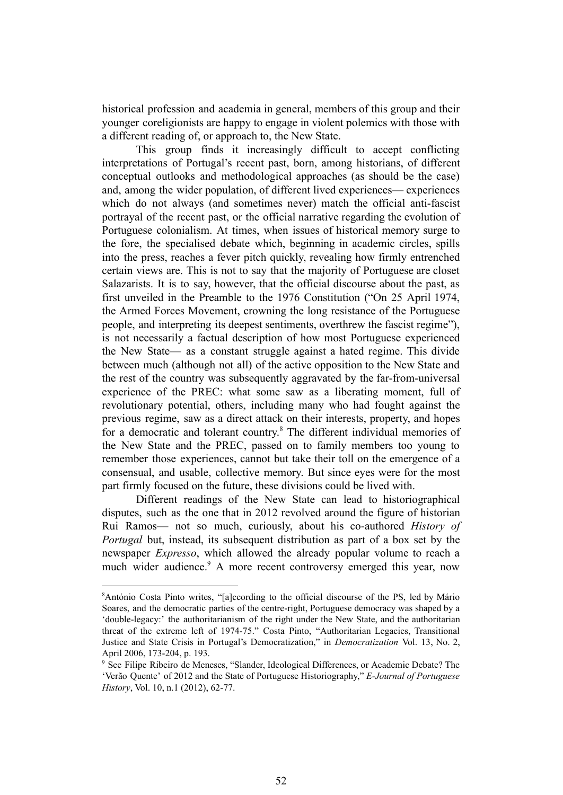historical profession and academia in general, members of this group and their younger coreligionists are happy to engage in violent polemics with those with a different reading of, or approach to, the New State.

This group finds it increasingly difficult to accept conflicting interpretations of Portugal's recent past, born, among historians, of different conceptual outlooks and methodological approaches (as should be the case) and, among the wider population, of different lived experiences— experiences which do not always (and sometimes never) match the official anti-fascist portrayal of the recent past, or the official narrative regarding the evolution of Portuguese colonialism. At times, when issues of historical memory surge to the fore, the specialised debate which, beginning in academic circles, spills into the press, reaches a fever pitch quickly, revealing how firmly entrenched certain views are. This is not to say that the majority of Portuguese are closet Salazarists. It is to say, however, that the official discourse about the past, as first unveiled in the Preamble to the 1976 Constitution ("On 25 April 1974, the Armed Forces Movement, crowning the long resistance of the Portuguese people, and interpreting its deepest sentiments, overthrew the fascist regime"), is not necessarily a factual description of how most Portuguese experienced the New State— as a constant struggle against a hated regime. This divide between much (although not all) of the active opposition to the New State and the rest of the country was subsequently aggravated by the far-from-universal experience of the PREC: what some saw as a liberating moment, full of revolutionary potential, others, including many who had fought against the previous regime, saw as a direct attack on their interests, property, and hopes for a democratic and tolerant country.<sup>8</sup> The different individual memories of the New State and the PREC, passed on to family members too young to remember those experiences, cannot but take their toll on the emergence of a consensual, and usable, collective memory. But since eyes were for the most part firmly focused on the future, these divisions could be lived with.

Different readings of the New State can lead to historiographical disputes, such as the one that in 2012 revolved around the figure of historian Rui Ramos— not so much, curiously, about his co-authored *History of Portugal* but, instead, its subsequent distribution as part of a box set by the newspaper *Expresso*, which allowed the already popular volume to reach a much wider audience.<sup>9</sup> A more recent controversy emerged this year, now

<sup>8</sup>António Costa Pinto writes, "[a]ccording to the official discourse of the PS, led by Mário Soares, and the democratic parties of the centre-right, Portuguese democracy was shaped by a 'double-legacy:' the authoritarianism of the right under the New State, and the authoritarian threat of the extreme left of 1974-75." Costa Pinto, "Authoritarian Legacies, Transitional Justice and State Crisis in Portugal's Democratization," in *Democratization* Vol. 13, No. 2, April 2006, 173-204, p. 193.

<sup>9</sup> See Filipe Ribeiro de Meneses, "Slander, Ideological Differences, or Academic Debate? The 'Verão Quente' of 2012 and the State of Portuguese Historiography," *E-Journal of Portuguese History*, Vol. 10, n.1 (2012), 62-77.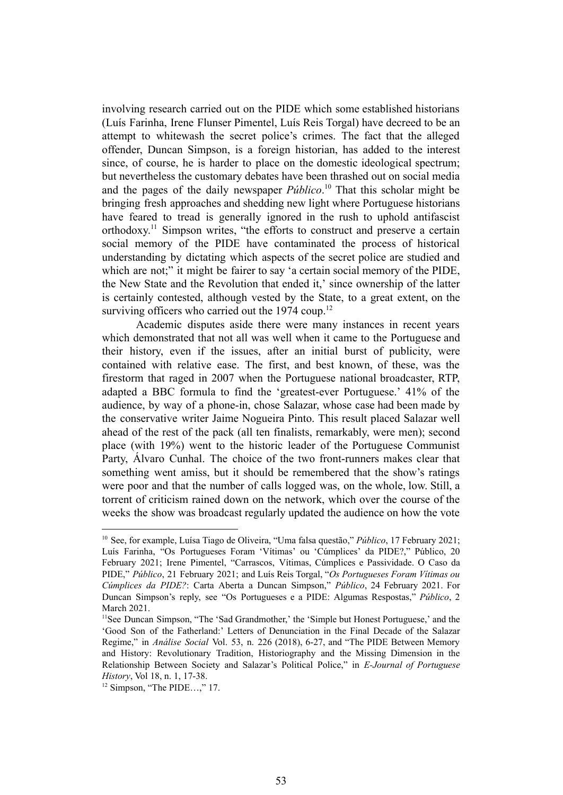involving research carried out on the PIDE which some established historians (Luís Farinha, Irene Flunser Pimentel, Luís Reis Torgal) have decreed to be an attempt to whitewash the secret police's crimes. The fact that the alleged offender, Duncan Simpson, is a foreign historian, has added to the interest since, of course, he is harder to place on the domestic ideological spectrum; but nevertheless the customary debates have been thrashed out on social media and the pages of the daily newspaper  $P$ *úblico*.<sup>10</sup> That this scholar might be bringing fresh approaches and shedding new light where Portuguese historians have feared to tread is generally ignored in the rush to uphold antifascist orthodoxy.<sup>11</sup> Simpson writes, "the efforts to construct and preserve a certain social memory of the PIDE have contaminated the process of historical understanding by dictating which aspects of the secret police are studied and which are not;" it might be fairer to say 'a certain social memory of the PIDE, the New State and the Revolution that ended it,' since ownership of the latter is certainly contested, although vested by the State, to a great extent, on the surviving officers who carried out the  $1974$  coup.<sup>12</sup>

Academic disputes aside there were many instances in recent years which demonstrated that not all was well when it came to the Portuguese and their history, even if the issues, after an initial burst of publicity, were contained with relative ease. The first, and best known, of these, was the firestorm that raged in 2007 when the Portuguese national broadcaster, RTP, adapted a BBC formula to find the 'greatest-ever Portuguese.' 41% of the audience, by way of a phone-in, chose Salazar, whose case had been made by the conservative writer Jaime Nogueira Pinto. This result placed Salazar well ahead of the rest of the pack (all ten finalists, remarkably, were men); second place (with 19%) went to the historic leader of the Portuguese Communist Party, Álvaro Cunhal. The choice of the two front-runners makes clear that something went amiss, but it should be remembered that the show's ratings were poor and that the number of calls logged was, on the whole, low. Still, a torrent of criticism rained down on the network, which over the course of the weeks the show was broadcast regularly updated the audience on how the vote

<sup>10</sup> See, for example, Luísa Tiago de Oliveira, "Uma falsa questão," *Público*, 17 February 2021; Luís Farinha, "Os Portugueses Foram 'Vítimas' ou 'Cúmplices' da PIDE?," Público, 20 February 2021; Irene Pimentel, "Carrascos, Vítimas, Cúmplices e Passividade. O Caso da PIDE," *Público*, 21 February 2021; and Luís Reis Torgal, "*Os Portugueses Foram Vítimas ou Cúmplices da PIDE?*: Carta Aberta a Duncan Simpson," *Público*, 24 February 2021. For Duncan Simpson's reply, see "Os Portugueses e a PIDE: Algumas Respostas," *Público*, 2 March 2021.

<sup>&</sup>lt;sup>11</sup>See Duncan Simpson, "The 'Sad Grandmother,' the 'Simple but Honest Portuguese,' and the 'Good Son of the Fatherland:' Letters of Denunciation in the Final Decade of the Salazar Regime," in *Análise Social* Vol. 53, n. 226 (2018), 6-27, and "The PIDE Between Memory and History: Revolutionary Tradition, Historiography and the Missing Dimension in the Relationship Between Society and Salazar's Political Police," in *E-Journal of Portuguese History*, Vol 18, n. 1, 17-38.

 $12$  Simpson, "The PIDE...," 17.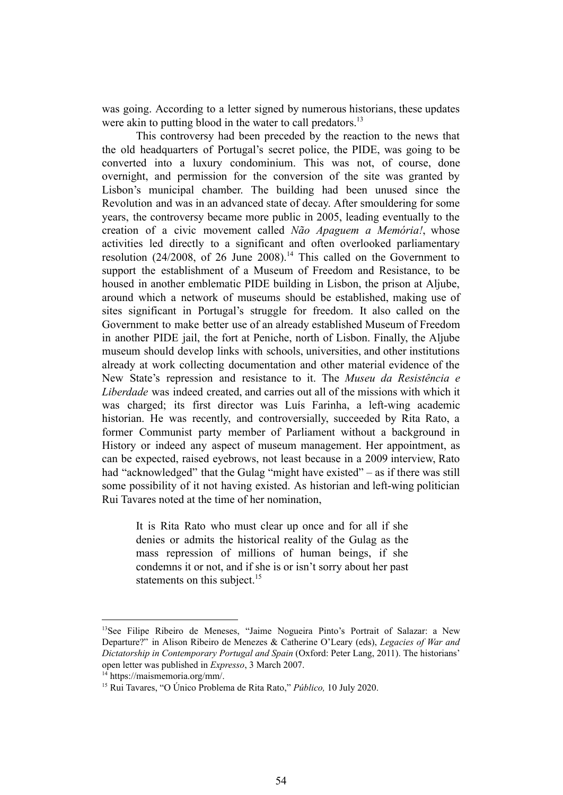was going. According to a letter signed by numerous historians, these updates were akin to putting blood in the water to call predators.<sup>13</sup>

This controversy had been preceded by the reaction to the news that the old headquarters of Portugal's secret police, the PIDE, was going to be converted into a luxury condominium. This was not, of course, done overnight, and permission for the conversion of the site was granted by Lisbon's municipal chamber. The building had been unused since the Revolution and was in an advanced state of decay. After smouldering for some years, the controversy became more public in 2005, leading eventually to the creation of a civic movement called *Não Apaguem a Memória!*, whose activities led directly to a significant and often overlooked parliamentary resolution (24/2008, of 26 June 2008).<sup>14</sup> This called on the Government to support the establishment of a Museum of Freedom and Resistance, to be housed in another emblematic PIDE building in Lisbon, the prison at Aljube, around which a network of museums should be established, making use of sites significant in Portugal's struggle for freedom. It also called on the Government to make better use of an already established Museum of Freedom in another PIDE jail, the fort at Peniche, north of Lisbon. Finally, the Aljube museum should develop links with schools, universities, and other institutions already at work collecting documentation and other material evidence of the New State's repression and resistance to it. The *Museu da Resistência e Liberdade* was indeed created, and carries out all of the missions with which it was charged; its first director was Luís Farinha, a left-wing academic historian. He was recently, and controversially, succeeded by Rita Rato, a former Communist party member of Parliament without a background in History or indeed any aspect of museum management. Her appointment, as can be expected, raised eyebrows, not least because in a 2009 interview, Rato had "acknowledged" that the Gulag "might have existed" – as if there was still some possibility of it not having existed. As historian and left-wing politician Rui Tavares noted at the time of her nomination,

It is Rita Rato who must clear up once and for all if she denies or admits the historical reality of the Gulag as the mass repression of millions of human beings, if she condemns it or not, and if she is or isn't sorry about her past statements on this subject.<sup>15</sup>

<sup>&</sup>lt;sup>13</sup>See Filipe Ribeiro de Meneses, "Jaime Nogueira Pinto's Portrait of Salazar: a New Departure?" in Alison Ribeiro de Menezes & Catherine O'Leary (eds), *Legacies of War and Dictatorship in Contemporary Portugal and Spain* (Oxford: Peter Lang, 2011). The historians' open letter was published in *Expresso*, 3 March 2007.

<sup>&</sup>lt;sup>14</sup> <https://maismemoria.org/mm/>.

<sup>15</sup> Rui Tavares, "O Único Problema de Rita Rato," *Público,* 10 July 2020.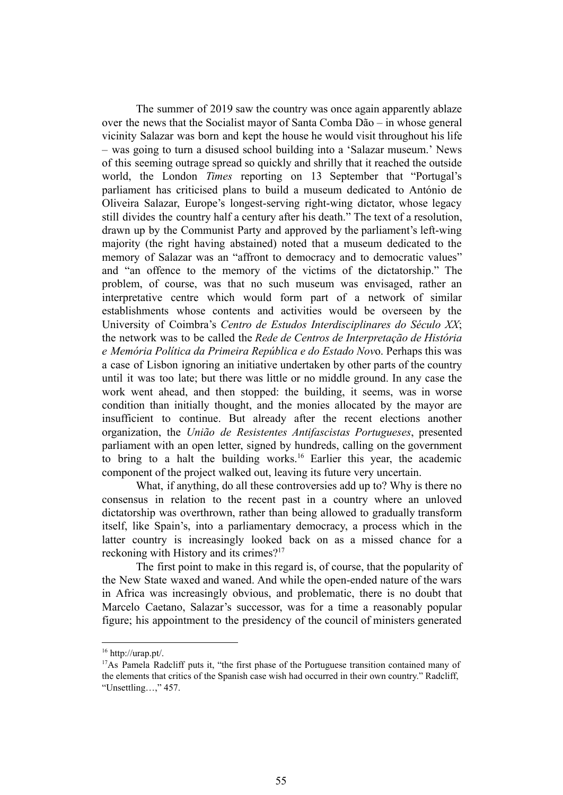The summer of 2019 saw the country was once again apparently ablaze over the news that the Socialist mayor of Santa Comba Dão – in whose general vicinity Salazar was born and kept the house he would visit throughout his life – was going to turn a disused school building into a 'Salazar museum.' News of this seeming outrage spread so quickly and shrilly that it reached the outside world, the London *Times* reporting on 13 September that "Portugal's parliament has criticised plans to build a museum dedicated to António de Oliveira Salazar, Europe's longest-serving right-wing dictator, whose legacy still divides the country half a century after his death." The text of a resolution, drawn up by the Communist Party and approved by the parliament's left-wing majority (the right having abstained) noted that a museum dedicated to the memory of Salazar was an "affront to democracy and to democratic values" and "an offence to the memory of the victims of the dictatorship." The problem, of course, was that no such museum was envisaged, rather an interpretative centre which would form part of a network of similar establishments whose contents and activities would be overseen by the University of Coimbra's *Centro de Estudos Interdisciplinares do Século XX*; the network was to be called the *Rede de Centros de Interpretação de História e Memória Política da Primeira República e do Estado Nov*o. Perhaps this was a case of Lisbon ignoring an initiative undertaken by other parts of the country until it was too late; but there was little or no middle ground. In any case the work went ahead, and then stopped: the building, it seems, was in worse condition than initially thought, and the monies allocated by the mayor are insufficient to continue. But already after the recent elections another organization, the *União de Resistentes Antifascistas Portugueses*, presented parliament with an open letter, signed by hundreds, calling on the government to bring to a halt the building works.<sup>16</sup> Earlier this year, the academic component of the project walked out, leaving its future very uncertain.

What, if anything, do all these controversies add up to? Why is there no consensus in relation to the recent past in a country where an unloved dictatorship was overthrown, rather than being allowed to gradually transform itself, like Spain's, into a parliamentary democracy, a process which in the latter country is increasingly looked back on as a missed chance for a reckoning with History and its crimes?<sup>17</sup>

The first point to make in this regard is, of course, that the popularity of the New State waxed and waned. And while the open-ended nature of the wars in Africa was increasingly obvious, and problematic, there is no doubt that Marcelo Caetano, Salazar's successor, was for a time a reasonably popular figure; his appointment to the presidency of the council of ministers generated

<sup>16</sup> http://urap.pt/.

<sup>&</sup>lt;sup>17</sup>As Pamela Radcliff puts it, "the first phase of the Portuguese transition contained many of the elements that critics of the Spanish case wish had occurred in their own country." Radcliff, "Unsettling…," 457.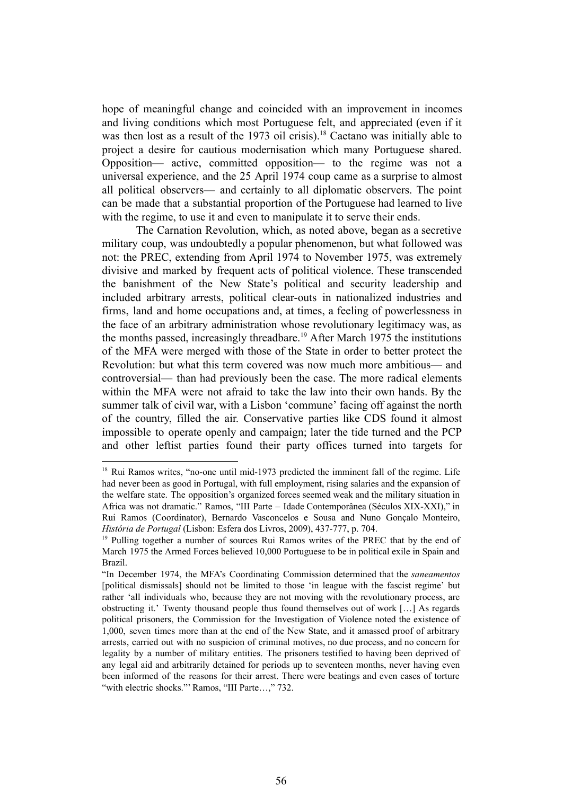hope of meaningful change and coincided with an improvement in incomes and living conditions which most Portuguese felt, and appreciated (even if it was then lost as a result of the 1973 oil crisis).<sup>18</sup> Caetano was initially able to project a desire for cautious modernisation which many Portuguese shared. Opposition— active, committed opposition— to the regime was not a universal experience, and the 25 April 1974 coup came as a surprise to almost all political observers— and certainly to all diplomatic observers. The point can be made that a substantial proportion of the Portuguese had learned to live with the regime, to use it and even to manipulate it to serve their ends.

The Carnation Revolution, which, as noted above, began as a secretive military coup, was undoubtedly a popular phenomenon, but what followed was not: the PREC, extending from April 1974 to November 1975, was extremely divisive and marked by frequent acts of political violence. These transcended the banishment of the New State's political and security leadership and included arbitrary arrests, political clear-outs in nationalized industries and firms, land and home occupations and, at times, a feeling of powerlessness in the face of an arbitrary administration whose revolutionary legitimacy was, as the months passed, increasingly threadbare.<sup>19</sup> After March 1975 the institutions of the MFA were merged with those of the State in order to better protect the Revolution: but what this term covered was now much more ambitious— and controversial— than had previously been the case. The more radical elements within the MFA were not afraid to take the law into their own hands. By the summer talk of civil war, with a Lisbon 'commune' facing off against the north of the country, filled the air. Conservative parties like CDS found it almost impossible to operate openly and campaign; later the tide turned and the PCP and other leftist parties found their party offices turned into targets for

<sup>&</sup>lt;sup>18</sup> Rui Ramos writes, "no-one until mid-1973 predicted the imminent fall of the regime. Life had never been as good in Portugal, with full employment, rising salaries and the expansion of the welfare state. The opposition's organized forces seemed weak and the military situation in Africa was not dramatic." Ramos, "III Parte – Idade Contemporânea (Séculos XIX-XXI)," in Rui Ramos (Coordinator), Bernardo Vasconcelos e Sousa and Nuno Gonçalo Monteiro, *História de Portugal* (Lisbon: Esfera dos Livros, 2009), 437-777, p. 704.

<sup>&</sup>lt;sup>19</sup> Pulling together a number of sources Rui Ramos writes of the PREC that by the end of March 1975 the Armed Forces believed 10,000 Portuguese to be in political exile in Spain and Brazil.

<sup>&</sup>quot;In December 1974, the MFA's Coordinating Commission determined that the *saneamentos* [political dismissals] should not be limited to those 'in league with the fascist regime' but rather 'all individuals who, because they are not moving with the revolutionary process, are obstructing it.' Twenty thousand people thus found themselves out of work […] As regards political prisoners, the Commission for the Investigation of Violence noted the existence of 1,000, seven times more than at the end of the New State, and it amassed proof of arbitrary arrests, carried out with no suspicion of criminal motives, no due process, and no concern for legality by a number of military entities. The prisoners testified to having been deprived of any legal aid and arbitrarily detained for periods up to seventeen months, never having even been informed of the reasons for their arrest. There were beatings and even cases of torture "with electric shocks." Ramos, "III Parte...," 732.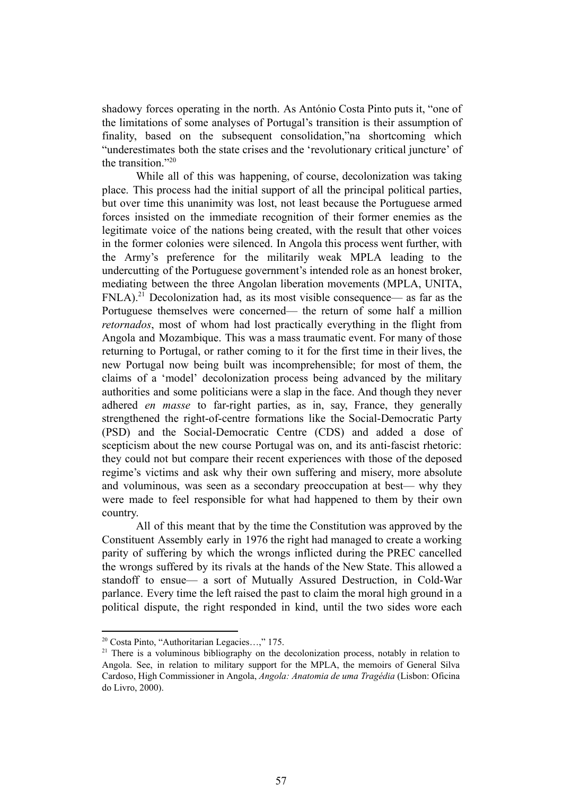shadowy forces operating in the north. As António Costa Pinto puts it, "one of the limitations of some analyses of Portugal's transition is their assumption of finality, based on the subsequent consolidation,"na shortcoming which "underestimates both the state crises and the 'revolutionary critical juncture' of the transition<sup>"20</sup>

While all of this was happening, of course, decolonization was taking place. This process had the initial support of all the principal political parties, but over time this unanimity was lost, not least because the Portuguese armed forces insisted on the immediate recognition of their former enemies as the legitimate voice of the nations being created, with the result that other voices in the former colonies were silenced. In Angola this process went further, with the Army's preference for the militarily weak MPLA leading to the undercutting of the Portuguese government's intended role as an honest broker, mediating between the three Angolan liberation movements (MPLA, UNITA,  $FNLA$ ).<sup>21</sup> Decolonization had, as its most visible consequence— as far as the Portuguese themselves were concerned— the return of some half a million *retornados*, most of whom had lost practically everything in the flight from Angola and Mozambique. This was a mass traumatic event. For many of those returning to Portugal, or rather coming to it for the first time in their lives, the new Portugal now being built was incomprehensible; for most of them, the claims of a 'model' decolonization process being advanced by the military authorities and some politicians were a slap in the face. And though they never adhered *en masse* to far-right parties, as in, say, France, they generally strengthened the right-of-centre formations like the Social-Democratic Party (PSD) and the Social-Democratic Centre (CDS) and added a dose of scepticism about the new course Portugal was on, and its anti-fascist rhetoric: they could not but compare their recent experiences with those of the deposed regime's victims and ask why their own suffering and misery, more absolute and voluminous, was seen as a secondary preoccupation at best— why they were made to feel responsible for what had happened to them by their own country.

All of this meant that by the time the Constitution was approved by the Constituent Assembly early in 1976 the right had managed to create a working parity of suffering by which the wrongs inflicted during the PREC cancelled the wrongs suffered by its rivals at the hands of the New State. This allowed a standoff to ensue— a sort of Mutually Assured Destruction, in Cold-War parlance. Every time the left raised the past to claim the moral high ground in a political dispute, the right responded in kind, until the two sides wore each

<sup>20</sup> Costa Pinto, "Authoritarian Legacies…," 175.

<sup>&</sup>lt;sup>21</sup> There is a voluminous bibliography on the decolonization process, notably in relation to Angola. See, in relation to military support for the MPLA, the memoirs of General Silva Cardoso, High Commissioner in Angola, *Angola: Anatomia de uma Tragédia* (Lisbon: Oficina do Livro, 2000).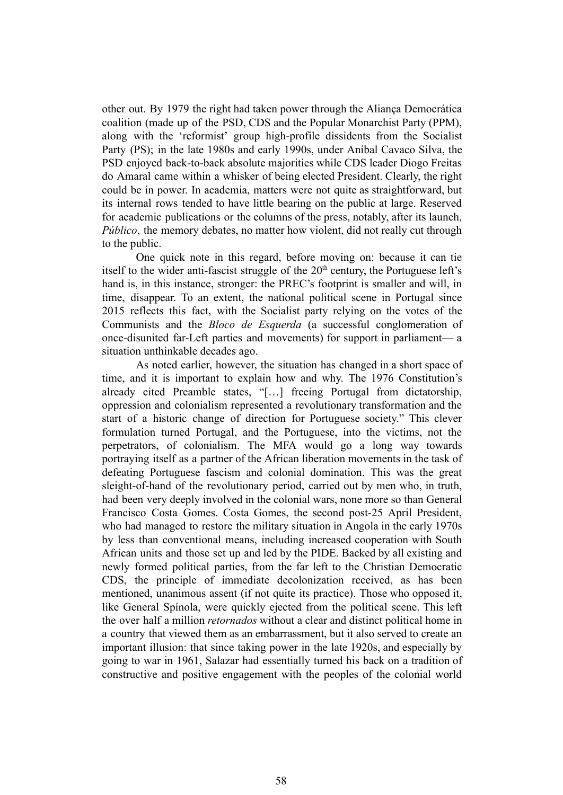other out. By 1979 the right had taken power through the Aliança Democrática coalition (made up of the PSD, CDS and the Popular Monarchist Party (PPM), along with the 'reformist' group high-profile dissidents from the Socialist Party (PS); in the late 1980s and early 1990s, under Aníbal Cavaco Silva, the PSD enjoyed back-to-back absolute majorities while CDS leader Diogo Freitas do Amaral came within a whisker of being elected President. Clearly, the right could be in power. In academia, matters were not quite as straightforward, but its internal rows tended to have little bearing on the public at large. Reserved for academic publications or the columns of the press, notably, after its launch, *Público*, the memory debates, no matter how violent, did not really cut through to the public.

One quick note in this regard, before moving on: because it can tie itself to the wider anti-fascist struggle of the  $20<sup>th</sup>$  century, the Portuguese left's hand is, in this instance, stronger: the PREC's footprint is smaller and will, in time, disappear. To an extent, the national political scene in Portugal since 2015 reflects this fact, with the Socialist party relying on the votes of the Communists and the *Bloco de Esquerda* (a successful conglomeration of once-disunited far-Left parties and movements) for support in parliament— a situation unthinkable decades ago.

As noted earlier, however, the situation has changed in a short space of time, and it is important to explain how and why. The 1976 Constitution's already cited Preamble states, "[…] freeing Portugal from dictatorship, oppression and colonialism represented a revolutionary transformation and the start of a historic change of direction for Portuguese society." This clever formulation turned Portugal, and the Portuguese, into the victims, not the perpetrators, of colonialism. The MFA would go a long way towards portraying itself as a partner of the African liberation movements in the task of defeating Portuguese fascism and colonial domination. This was the great sleight-of-hand of the revolutionary period, carried out by men who, in truth, had been very deeply involved in the colonial wars, none more so than General Francisco Costa Gomes. Costa Gomes, the second post-25 April President, who had managed to restore the military situation in Angola in the early 1970s by less than conventional means, including increased cooperation with South African units and those set up and led by the PIDE. Backed by all existing and newly formed political parties, from the far left to the Christian Democratic CDS, the principle of immediate decolonization received, as has been mentioned, unanimous assent (if not quite its practice). Those who opposed it, like General Spínola, were quickly ejected from the political scene. This left the over half a million *retornados* without a clear and distinct political home in a country that viewed them as an embarrassment, but it also served to create an important illusion: that since taking power in the late 1920s, and especially by going to war in 1961, Salazar had essentially turned his back on a tradition of constructive and positive engagement with the peoples of the colonial world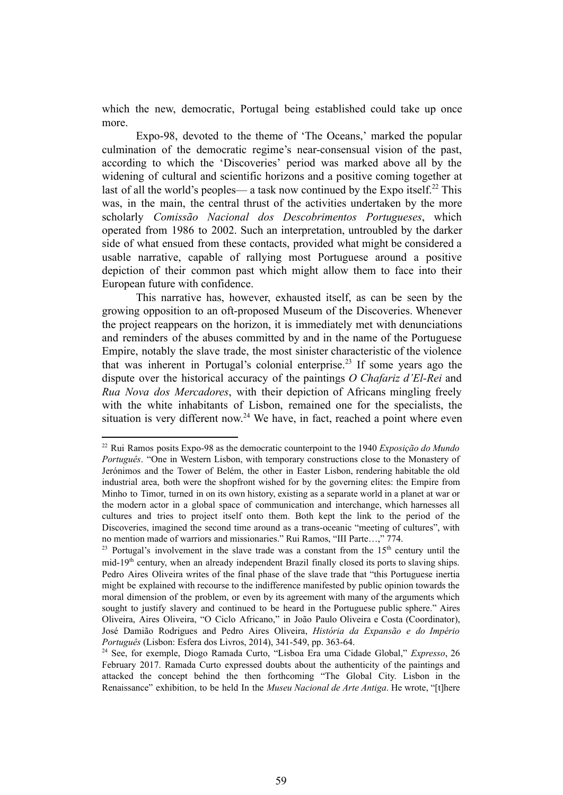which the new, democratic, Portugal being established could take up once more.

Expo-98, devoted to the theme of 'The Oceans,' marked the popular culmination of the democratic regime's near-consensual vision of the past, according to which the 'Discoveries' period was marked above all by the widening of cultural and scientific horizons and a positive coming together at last of all the world's peoples— a task now continued by the Expo itself.<sup>22</sup> This was, in the main, the central thrust of the activities undertaken by the more scholarly *Comissão Nacional dos Descobrimentos Portugueses*, which operated from 1986 to 2002. Such an interpretation, untroubled by the darker side of what ensued from these contacts, provided what might be considered a usable narrative, capable of rallying most Portuguese around a positive depiction of their common past which might allow them to face into their European future with confidence.

This narrative has, however, exhausted itself, as can be seen by the growing opposition to an oft-proposed Museum of the Discoveries. Whenever the project reappears on the horizon, it is immediately met with denunciations and reminders of the abuses committed by and in the name of the Portuguese Empire, notably the slave trade, the most sinister characteristic of the violence that was inherent in Portugal's colonial enterprise.<sup>23</sup> If some years ago the dispute over the historical accuracy of the paintings *O Chafariz d'El-Rei* and *Rua Nova dos Mercadores*, with their depiction of Africans mingling freely with the white inhabitants of Lisbon, remained one for the specialists, the situation is very different now.<sup>24</sup> We have, in fact, reached a point where even

<sup>22</sup> Rui Ramos posits Expo-98 as the democratic counterpoint to the 1940 *Exposição do Mundo Português*. "One in Western Lisbon, with temporary constructions close to the Monastery of Jerónimos and the Tower of Belém, the other in Easter Lisbon, rendering habitable the old industrial area, both were the shopfront wished for by the governing elites: the Empire from Minho to Timor, turned in on its own history, existing as a separate world in a planet at war or the modern actor in a global space of communication and interchange, which harnesses all cultures and tries to project itself onto them. Both kept the link to the period of the Discoveries, imagined the second time around as a trans-oceanic "meeting of cultures", with no mention made of warriors and missionaries." Rui Ramos, "III Parte…," 774.

<sup>&</sup>lt;sup>23</sup> Portugal's involvement in the slave trade was a constant from the  $15<sup>th</sup>$  century until the mid-19<sup>th</sup> century, when an already independent Brazil finally closed its ports to slaving ships. Pedro Aires Oliveira writes of the final phase of the slave trade that "this Portuguese inertia might be explained with recourse to the indifference manifested by public opinion towards the moral dimension of the problem, or even by its agreement with many of the arguments which sought to justify slavery and continued to be heard in the Portuguese public sphere." Aires Oliveira, Aires Oliveira, "O Ciclo Africano," in João Paulo Oliveira e Costa (Coordinator), José Damião Rodrigues and Pedro Aires Oliveira, *História da Expansão e do Império Português* (Lisbon: Esfera dos Livros, 2014), 341-549, pp. 363-64.

<sup>24</sup> See, for exemple, Diogo Ramada Curto, "Lisboa Era uma Cidade Global," *Expresso*, 26 February 2017. Ramada Curto expressed doubts about the authenticity of the paintings and attacked the concept behind the then forthcoming "The Global City. Lisbon in the Renaissance" exhibition, to be held In the *Museu Nacional de Arte Antiga*. He wrote, "[t]here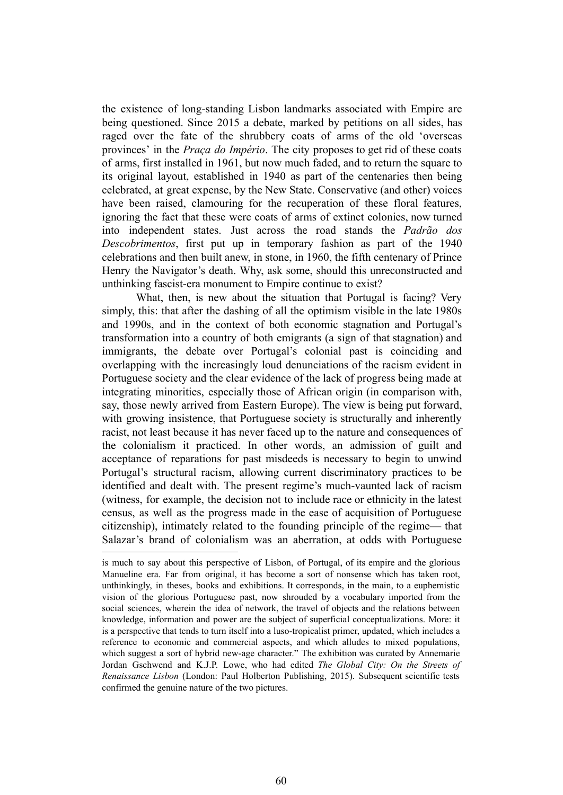the existence of long-standing Lisbon landmarks associated with Empire are being questioned. Since 2015 a debate, marked by petitions on all sides, has raged over the fate of the shrubbery coats of arms of the old 'overseas provinces' in the *Praça do Império*. The city proposes to get rid of these coats of arms, first installed in 1961, but now much faded, and to return the square to its original layout, established in 1940 as part of the centenaries then being celebrated, at great expense, by the New State. Conservative (and other) voices have been raised, clamouring for the recuperation of these floral features, ignoring the fact that these were coats of arms of extinct colonies, now turned into independent states. Just across the road stands the *Padrão dos Descobrimentos*, first put up in temporary fashion as part of the 1940 celebrations and then built anew, in stone, in 1960, the fifth centenary of Prince Henry the Navigator's death. Why, ask some, should this unreconstructed and unthinking fascist-era monument to Empire continue to exist?

What, then, is new about the situation that Portugal is facing? Very simply, this: that after the dashing of all the optimism visible in the late 1980s and 1990s, and in the context of both economic stagnation and Portugal's transformation into a country of both emigrants (a sign of that stagnation) and immigrants, the debate over Portugal's colonial past is coinciding and overlapping with the increasingly loud denunciations of the racism evident in Portuguese society and the clear evidence of the lack of progress being made at integrating minorities, especially those of African origin (in comparison with, say, those newly arrived from Eastern Europe). The view is being put forward, with growing insistence, that Portuguese society is structurally and inherently racist, not least because it has never faced up to the nature and consequences of the colonialism it practiced. In other words, an admission of guilt and acceptance of reparations for past misdeeds is necessary to begin to unwind Portugal's structural racism, allowing current discriminatory practices to be identified and dealt with. The present regime's much-vaunted lack of racism (witness, for example, the decision not to include race or ethnicity in the latest census, as well as the progress made in the ease of acquisition of Portuguese citizenship), intimately related to the founding principle of the regime— that Salazar's brand of colonialism was an aberration, at odds with Portuguese

is much to say about this perspective of Lisbon, of Portugal, of its empire and the glorious Manueline era. Far from original, it has become a sort of nonsense which has taken root, unthinkingly, in theses, books and exhibitions. It corresponds, in the main, to a euphemistic vision of the glorious Portuguese past, now shrouded by a vocabulary imported from the social sciences, wherein the idea of network, the travel of objects and the relations between knowledge, information and power are the subject of superficial conceptualizations. More: it is a perspective that tends to turn itself into a luso-tropicalist primer, updated, which includes a reference to economic and commercial aspects, and which alludes to mixed populations, which suggest a sort of hybrid new-age character." The exhibition was curated by Annemarie Jordan Gschwend and K.J.P. Lowe, who had edited *The Global City: On the Streets of Renaissance Lisbon* (London: Paul Holberton Publishing, 2015). Subsequent scientific tests confirmed the genuine nature of the two pictures.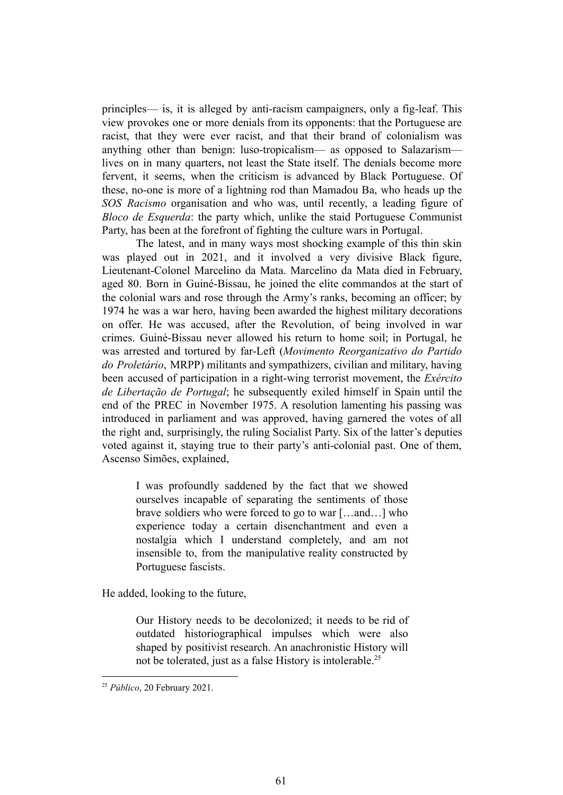principles— is, it is alleged by anti-racism campaigners, only a fig-leaf. This view provokes one or more denials from its opponents: that the Portuguese are racist, that they were ever racist, and that their brand of colonialism was anything other than benign: luso-tropicalism— as opposed to Salazarism lives on in many quarters, not least the State itself. The denials become more fervent, it seems, when the criticism is advanced by Black Portuguese. Of these, no-one is more of a lightning rod than Mamadou Ba, who heads up the *SOS Racismo* organisation and who was, until recently, a leading figure of *Bloco de Esquerda*: the party which, unlike the staid Portuguese Communist Party, has been at the forefront of fighting the culture wars in Portugal.

The latest, and in many ways most shocking example of this thin skin was played out in 2021, and it involved a very divisive Black figure, Lieutenant-Colonel Marcelino da Mata. Marcelino da Mata died in February, aged 80. Born in Guiné-Bissau, he joined the elite commandos at the start of the colonial wars and rose through the Army's ranks, becoming an officer; by 1974 he was a war hero, having been awarded the highest military decorations on offer. He was accused, after the Revolution, of being involved in war crimes. Guiné-Bissau never allowed his return to home soil; in Portugal, he was arrested and tortured by far-Left (*Movimento Reorganizativo do Partido do Proletário*, MRPP) militants and sympathizers, civilian and military, having been accused of participation in a right-wing terrorist movement, the *Exército de Libertação de Portugal*; he subsequently exiled himself in Spain until the end of the PREC in November 1975. A resolution lamenting his passing was introduced in parliament and was approved, having garnered the votes of all the right and, surprisingly, the ruling Socialist Party. Six of the latter's deputies voted against it, staying true to their party's anti-colonial past. One of them, Ascenso Simões, explained,

I was profoundly saddened by the fact that we showed ourselves incapable of separating the sentiments of those brave soldiers who were forced to go to war […and…] who experience today a certain disenchantment and even a nostalgia which I understand completely, and am not insensible to, from the manipulative reality constructed by Portuguese fascists.

He added, looking to the future,

Our History needs to be decolonized; it needs to be rid of outdated historiographical impulses which were also shaped by positivist research. An anachronistic History will not be tolerated, just as a false History is intolerable.<sup>25</sup>

<sup>25</sup> *Público*, 20 February 2021.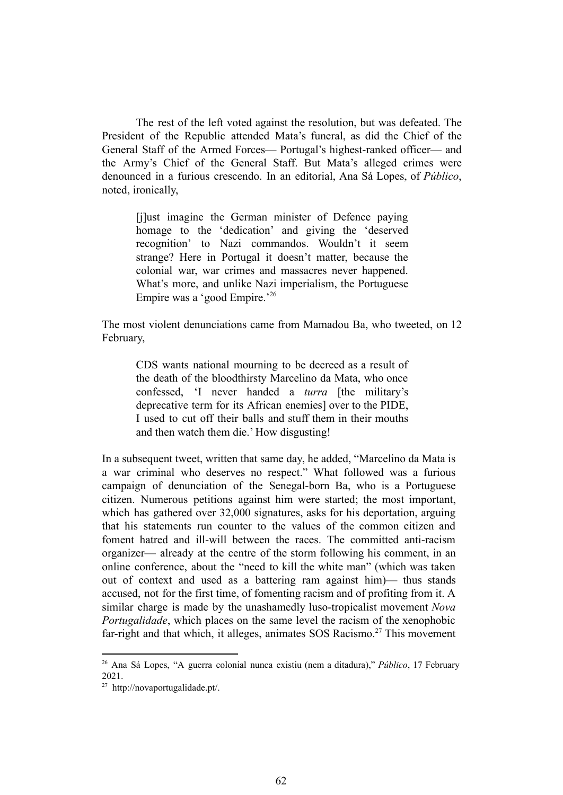The rest of the left voted against the resolution, but was defeated. The President of the Republic attended Mata's funeral, as did the Chief of the General Staff of the Armed Forces— Portugal's highest-ranked officer— and the Army's Chief of the General Staff. But Mata's alleged crimes were denounced in a furious crescendo. In an editorial, Ana Sá Lopes, of *Público*, noted, ironically,

[j]ust imagine the German minister of Defence paying homage to the 'dedication' and giving the 'deserved recognition' to Nazi commandos. Wouldn't it seem strange? Here in Portugal it doesn't matter, because the colonial war, war crimes and massacres never happened. What's more, and unlike Nazi imperialism, the Portuguese Empire was a 'good Empire.'<sup>26</sup>

The most violent denunciations came from Mamadou Ba, who tweeted, on 12 February,

CDS wants national mourning to be decreed as a result of the death of the bloodthirsty Marcelino da Mata, who once confessed, 'I never handed a *turra* [the military's deprecative term for its African enemies] over to the PIDE, I used to cut off their balls and stuff them in their mouths and then watch them die.' How disgusting!

In a subsequent tweet, written that same day, he added, "Marcelino da Mata is a war criminal who deserves no respect." What followed was a furious campaign of denunciation of the Senegal-born Ba, who is a Portuguese citizen. Numerous petitions against him were started; the most important, which has gathered over 32,000 signatures, asks for his deportation, arguing that his statements run counter to the values of the common citizen and foment hatred and ill-will between the races. The committed anti-racism organizer— already at the centre of the storm following his comment, in an online conference, about the "need to kill the white man" (which was taken out of context and used as a battering ram against him)— thus stands accused, not for the first time, of fomenting racism and of profiting from it. A similar charge is made by the unashamedly luso-tropicalist movement *Nova Portugalidade*, which places on the same level the racism of the xenophobic far-right and that which, it alleges, animates SOS Racismo.<sup>27</sup> This movement

<sup>26</sup> Ana Sá Lopes, "A guerra colonial nunca existiu (nem a ditadura)," *Público*, 17 February 2021.

 $27$  http://novaportugalidade.pt/.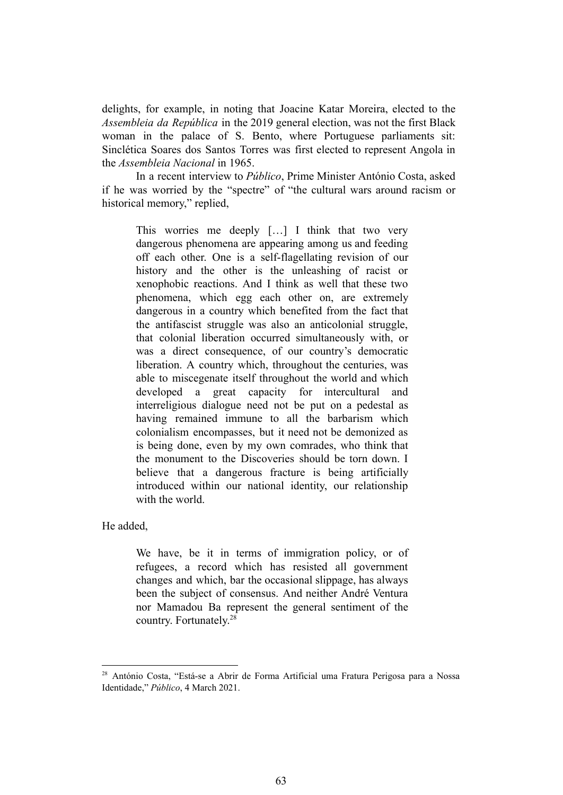delights, for example, in noting that Joacine Katar Moreira, elected to the *Assembleia da República* in the 2019 general election, was not the first Black woman in the palace of S. Bento, where Portuguese parliaments sit: Sinclética Soares dos Santos Torres was first elected to represent Angola in the *Assembleia Nacional* in 1965.

In a recent interview to *Público*, Prime Minister António Costa, asked if he was worried by the "spectre" of "the cultural wars around racism or historical memory," replied,

This worries me deeply […] I think that two very dangerous phenomena are appearing among us and feeding off each other. One is a self-flagellating revision of our history and the other is the unleashing of racist or xenophobic reactions. And I think as well that these two phenomena, which egg each other on, are extremely dangerous in a country which benefited from the fact that the antifascist struggle was also an anticolonial struggle, that colonial liberation occurred simultaneously with, or was a direct consequence, of our country's democratic liberation. A country which, throughout the centuries, was able to miscegenate itself throughout the world and which developed a great capacity for intercultural and interreligious dialogue need not be put on a pedestal as having remained immune to all the barbarism which colonialism encompasses, but it need not be demonized as is being done, even by my own comrades, who think that the monument to the Discoveries should be torn down. I believe that a dangerous fracture is being artificially introduced within our national identity, our relationship with the world.

He added,

We have, be it in terms of immigration policy, or of refugees, a record which has resisted all government changes and which, bar the occasional slippage, has always been the subject of consensus. And neither André Ventura nor Mamadou Ba represent the general sentiment of the country. Fortunately. 28

<sup>28</sup> António Costa, "Está-se a Abrir de Forma Artificial uma Fratura Perigosa para a Nossa Identidade," *Público*, 4 March 2021.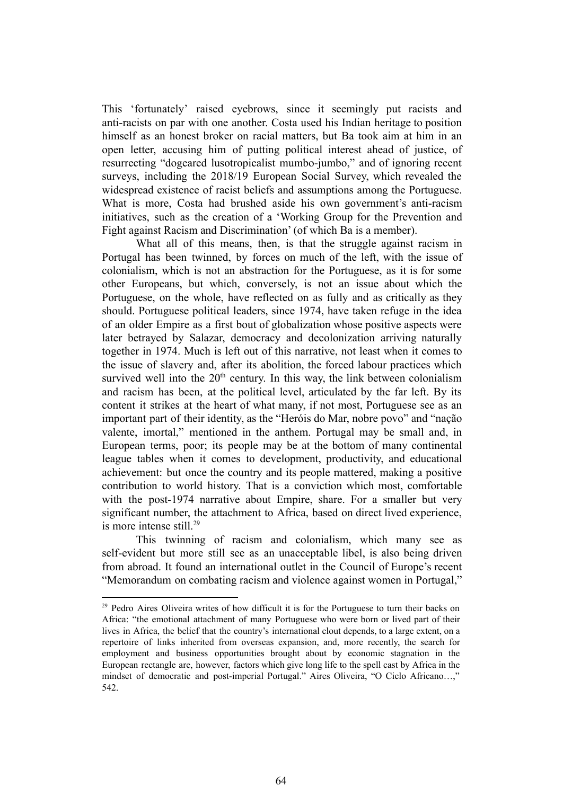This 'fortunately' raised eyebrows, since it seemingly put racists and anti-racists on par with one another. Costa used his Indian heritage to position himself as an honest broker on racial matters, but Ba took aim at him in an open letter, accusing him of putting political interest ahead of justice, of resurrecting "dogeared lusotropicalist mumbo-jumbo," and of ignoring recent surveys, including the 2018/19 European Social Survey, which revealed the widespread existence of racist beliefs and assumptions among the Portuguese. What is more, Costa had brushed aside his own government's anti-racism initiatives, such as the creation of a 'Working Group for the Prevention and Fight against Racism and Discrimination' (of which Ba is a member).

What all of this means, then, is that the struggle against racism in Portugal has been twinned, by forces on much of the left, with the issue of colonialism, which is not an abstraction for the Portuguese, as it is for some other Europeans, but which, conversely, is not an issue about which the Portuguese, on the whole, have reflected on as fully and as critically as they should. Portuguese political leaders, since 1974, have taken refuge in the idea of an older Empire as a first bout of globalization whose positive aspects were later betrayed by Salazar, democracy and decolonization arriving naturally together in 1974. Much is left out of this narrative, not least when it comes to the issue of slavery and, after its abolition, the forced labour practices which survived well into the  $20<sup>th</sup>$  century. In this way, the link between colonialism and racism has been, at the political level, articulated by the far left. By its content it strikes at the heart of what many, if not most, Portuguese see as an important part of their identity, as the "Heróis do Mar, nobre povo" and "nação valente, imortal," mentioned in the anthem. Portugal may be small and, in European terms, poor; its people may be at the bottom of many continental league tables when it comes to development, productivity, and educational achievement: but once the country and its people mattered, making a positive contribution to world history. That is a conviction which most, comfortable with the post-1974 narrative about Empire, share. For a smaller but very significant number, the attachment to Africa, based on direct lived experience, is more intense still. $^{29}$ 

This twinning of racism and colonialism, which many see as self-evident but more still see as an unacceptable libel, is also being driven from abroad. It found an international outlet in the Council of Europe's recent "Memorandum on combating racism and violence against women in Portugal,"

<sup>&</sup>lt;sup>29</sup> Pedro Aires Oliveira writes of how difficult it is for the Portuguese to turn their backs on Africa: "the emotional attachment of many Portuguese who were born or lived part of their lives in Africa, the belief that the country's international clout depends, to a large extent, on a repertoire of links inherited from overseas expansion, and, more recently, the search for employment and business opportunities brought about by economic stagnation in the European rectangle are, however, factors which give long life to the spell cast by Africa in the mindset of democratic and post-imperial Portugal." Aires Oliveira, "O Ciclo Africano…," 542.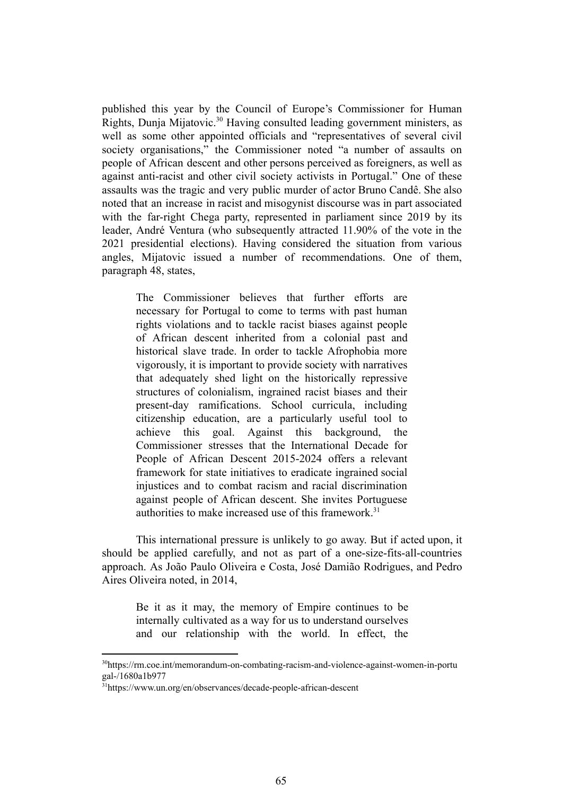published this year by the Council of Europe's Commissioner for Human Rights, Dunja Mijatovic.<sup>30</sup> Having consulted leading government ministers, as well as some other appointed officials and "representatives of several civil society organisations," the Commissioner noted "a number of assaults on people of African descent and other persons perceived as foreigners, as well as against anti-racist and other civil society activists in Portugal." One of these assaults was the tragic and very public murder of actor Bruno Candê. She also noted that an increase in racist and misogynist discourse was in part associated with the far-right Chega party, represented in parliament since 2019 by its leader, André Ventura (who subsequently attracted 11.90% of the vote in the 2021 presidential elections). Having considered the situation from various angles, Mijatovic issued a number of recommendations. One of them, paragraph 48, states,

The Commissioner believes that further efforts are necessary for Portugal to come to terms with past human rights violations and to tackle racist biases against people of African descent inherited from a colonial past and historical slave trade. In order to tackle Afrophobia more vigorously, it is important to provide society with narratives that adequately shed light on the historically repressive structures of colonialism, ingrained racist biases and their present-day ramifications. School curricula, including citizenship education, are a particularly useful tool to achieve this goal. Against this background, the Commissioner stresses that the International Decade for People of African Descent 2015-2024 offers a relevant framework for state initiatives to eradicate ingrained social injustices and to combat racism and racial discrimination against people of African descent. She invites Portuguese authorities to make increased use of this framework.<sup>31</sup>

This international pressure is unlikely to go away. But if acted upon, it should be applied carefully, and not as part of a one-size-fits-all-countries approach. As João Paulo Oliveira e Costa, José Damião Rodrigues, and Pedro Aires Oliveira noted, in 2014,

Be it as it may, the memory of Empire continues to be internally cultivated as a way for us to understand ourselves and our relationship with the world. In effect, the

<sup>30</sup>https://rm.coe.int/memorandum-on-combating-racism-and-violence-against-women-in-portu gal-/1680a1b977

<sup>31</sup>https://www.un.org/en/observances/decade-people-african-descent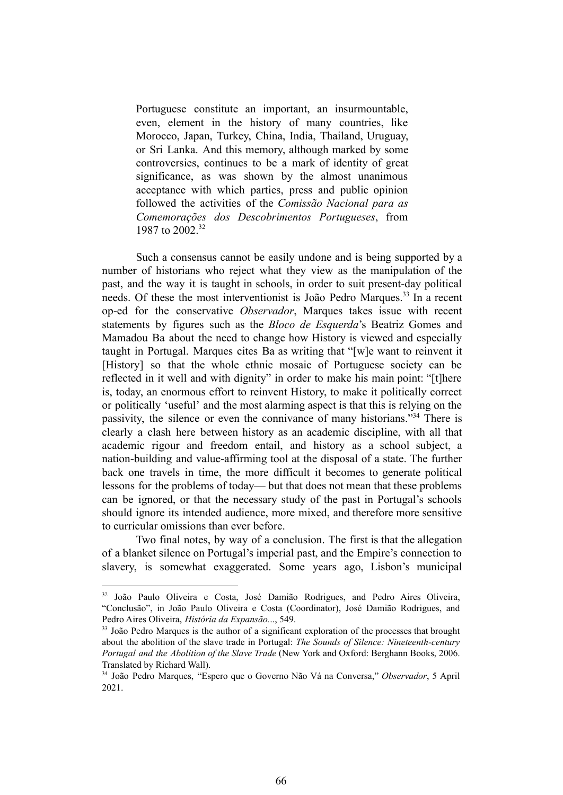Portuguese constitute an important, an insurmountable, even, element in the history of many countries, like Morocco, Japan, Turkey, China, India, Thailand, Uruguay, or Sri Lanka. And this memory, although marked by some controversies, continues to be a mark of identity of great significance, as was shown by the almost unanimous acceptance with which parties, press and public opinion followed the activities of the *Comissão Nacional para as Comemorações dos Descobrimentos Portugueses*, from 1987 to 2002<sup>32</sup>

Such a consensus cannot be easily undone and is being supported by a number of historians who reject what they view as the manipulation of the past, and the way it is taught in schools, in order to suit present-day political needs. Of these the most interventionist is João Pedro Marques.<sup>33</sup> In a recent op-ed for the conservative *Observador*, Marques takes issue with recent statements by figures such as the *Bloco de Esquerda*'s Beatriz Gomes and Mamadou Ba about the need to change how History is viewed and especially taught in Portugal. Marques cites Ba as writing that "[w]e want to reinvent it [History] so that the whole ethnic mosaic of Portuguese society can be reflected in it well and with dignity" in order to make his main point: "[t]here is, today, an enormous effort to reinvent History, to make it politically correct or politically 'useful' and the most alarming aspect is that this is relying on the passivity, the silence or even the connivance of many historians."<sup>34</sup> There is clearly a clash here between history as an academic discipline, with all that academic rigour and freedom entail, and history as a school subject, a nation-building and value-affirming tool at the disposal of a state. The further back one travels in time, the more difficult it becomes to generate political lessons for the problems of today— but that does not mean that these problems can be ignored, or that the necessary study of the past in Portugal's schools should ignore its intended audience, more mixed, and therefore more sensitive to curricular omissions than ever before.

Two final notes, by way of a conclusion. The first is that the allegation of a blanket silence on Portugal's imperial past, and the Empire's connection to slavery, is somewhat exaggerated. Some years ago, Lisbon's municipal

<sup>32</sup> João Paulo Oliveira e Costa, José Damião Rodrigues, and Pedro Aires Oliveira, "Conclusão", in João Paulo Oliveira e Costa (Coordinator), José Damião Rodrigues, and Pedro Aires Oliveira, *História da Expansão.*.., 549.

<sup>&</sup>lt;sup>33</sup> João Pedro Marques is the author of a significant exploration of the processes that brought about the abolition of the slave trade in Portugal: *The Sounds of Silence: Nineteenth-century Portugal and the Abolition of the Slave Trade* (New York and Oxford: Berghann Books, 2006. Translated by Richard Wall).

<sup>34</sup> João Pedro Marques, "Espero que o Governo Não Vá na Conversa," *Observador*, 5 April 2021.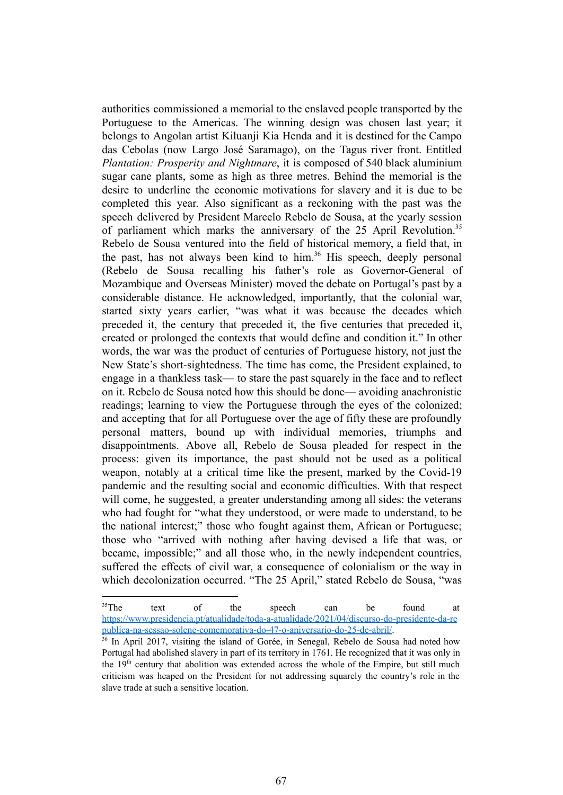authorities commissioned a memorial to the enslaved people transported by the Portuguese to the Americas. The winning design was chosen last year; it belongs to Angolan artist Kiluanji Kia Henda and it is destined for the Campo das Cebolas (now Largo José Saramago), on the Tagus river front. Entitled *Plantation: Prosperity and Nightmare*, it is composed of 540 black aluminium sugar cane plants, some as high as three metres. Behind the memorial is the desire to underline the economic motivations for slavery and it is due to be completed this year. Also significant as a reckoning with the past was the speech delivered by President Marcelo Rebelo de Sousa, at the yearly session of parliament which marks the anniversary of the 25 April Revolution.<sup>35</sup> Rebelo de Sousa ventured into the field of historical memory, a field that, in the past, has not always been kind to him.<sup>36</sup> His speech, deeply personal (Rebelo de Sousa recalling his father's role as Governor-General of Mozambique and Overseas Minister) moved the debate on Portugal's past by a considerable distance. He acknowledged, importantly, that the colonial war, started sixty years earlier, "was what it was because the decades which preceded it, the century that preceded it, the five centuries that preceded it, created or prolonged the contexts that would define and condition it." In other words, the war was the product of centuries of Portuguese history, not just the New State's short-sightedness. The time has come, the President explained, to engage in a thankless task— to stare the past squarely in the face and to reflect on it. Rebelo de Sousa noted how this should be done— avoiding anachronistic readings; learning to view the Portuguese through the eyes of the colonized; and accepting that for all Portuguese over the age of fifty these are profoundly personal matters, bound up with individual memories, triumphs and disappointments. Above all, Rebelo de Sousa pleaded for respect in the process: given its importance, the past should not be used as a political weapon, notably at a critical time like the present, marked by the Covid-19 pandemic and the resulting social and economic difficulties. With that respect will come, he suggested, a greater understanding among all sides: the veterans who had fought for "what they understood, or were made to understand, to be the national interest;" those who fought against them, African or Portuguese; those who "arrived with nothing after having devised a life that was, or became, impossible;" and all those who, in the newly independent countries, suffered the effects of civil war, a consequence of colonialism or the way in which decolonization occurred. "The 25 April," stated Rebelo de Sousa, "was

<sup>&</sup>lt;sup>35</sup>The text of the speech can be found at [https://www.presidencia.pt/atualidade/toda-a-atualidade/2021/04/discurso-do-presidente-da-re](https://www.presidencia.pt/atualidade/toda-a-atualidade/2021/04/discurso-do-presidente-da-republica-na-sessao-solene-comemorativa-do-47-o-aniversario-do-25-de-abril/) [publica-na-sessao-solene-comemorativa-do-47-o-aniversario-do-25-de-abril/.](https://www.presidencia.pt/atualidade/toda-a-atualidade/2021/04/discurso-do-presidente-da-republica-na-sessao-solene-comemorativa-do-47-o-aniversario-do-25-de-abril/)

<sup>&</sup>lt;sup>36</sup> In April 2017, visiting the island of Gorée, in Senegal, Rebelo de Sousa had noted how Portugal had abolished slavery in part of its territory in 1761. He recognized that it was only in the 19<sup>th</sup> century that abolition was extended across the whole of the Empire, but still much criticism was heaped on the President for not addressing squarely the country's role in the slave trade at such a sensitive location.